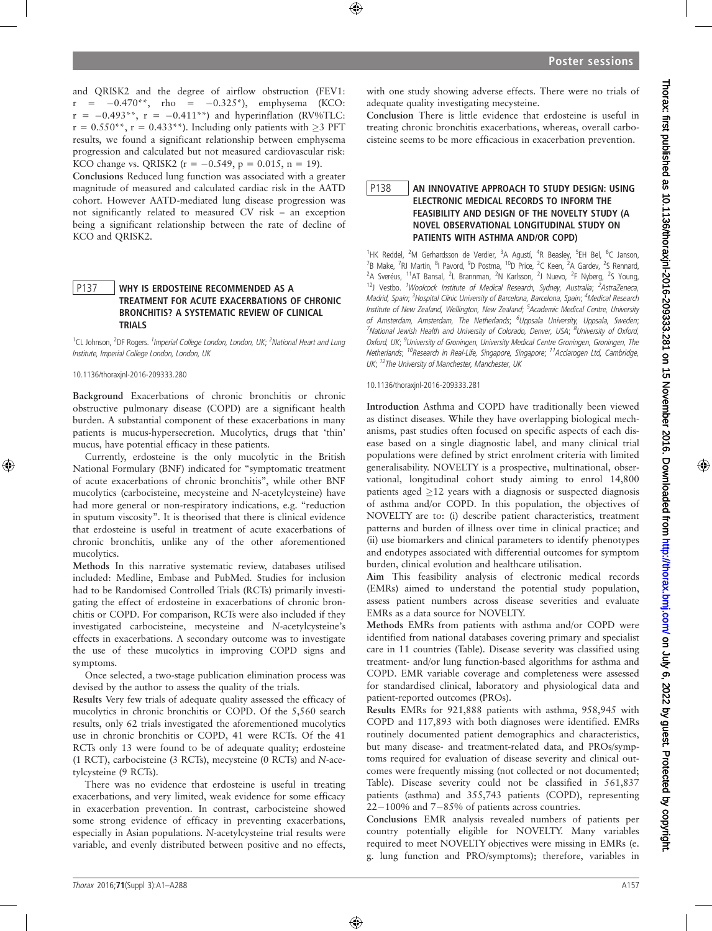and QRISK2 and the degree of airflow obstruction (FEV1:  $r = -0.470**$ , rho =  $-0.325*$ ), emphysema (KCO:  $r = -0.493**$ ,  $r = -0.411**$ ) and hyperinflation (RV%TLC:  $r = 0.550$ \*\*,  $r = 0.433$ \*\*). Including only patients with  $\geq 3$  PFT results, we found a significant relationship between emphysema progression and calculated but not measured cardiovascular risk: KCO change vs. QRISK2 ( $r = -0.549$ ,  $p = 0.015$ ,  $n = 19$ ).

Conclusions Reduced lung function was associated with a greater magnitude of measured and calculated cardiac risk in the AATD cohort. However AATD-mediated lung disease progression was not significantly related to measured CV risk – an exception being a significant relationship between the rate of decline of KCO and QRISK2.

### P137 WHY IS ERDOSTEINE RECOMMENDED AS A TREATMENT FOR ACUTE EXACERBATIONS OF CHRONIC BRONCHITIS? A SYSTEMATIC REVIEW OF CLINICAL TRIALS

<sup>1</sup>CL Johnson, <sup>2</sup>DF Rogers. <sup>1</sup>Imperial College London, London, UK; <sup>2</sup>National Heart and Lung Institute, Imperial College London, London, UK

10.1136/thoraxjnl-2016-209333.280

Background Exacerbations of chronic bronchitis or chronic obstructive pulmonary disease (COPD) are a significant health burden. A substantial component of these exacerbations in many patients is mucus-hypersecretion. Mucolytics, drugs that 'thin' mucus, have potential efficacy in these patients.

Currently, erdosteine is the only mucolytic in the British National Formulary (BNF) indicated for "symptomatic treatment of acute exacerbations of chronic bronchitis", while other BNF mucolytics (carbocisteine, mecysteine and N-acetylcysteine) have had more general or non-respiratory indications, e.g. "reduction in sputum viscosity". It is theorised that there is clinical evidence that erdosteine is useful in treatment of acute exacerbations of chronic bronchitis, unlike any of the other aforementioned mucolytics.

Methods In this narrative systematic review, databases utilised included: Medline, Embase and PubMed. Studies for inclusion had to be Randomised Controlled Trials (RCTs) primarily investigating the effect of erdosteine in exacerbations of chronic bronchitis or COPD. For comparison, RCTs were also included if they investigated carbocisteine, mecysteine and N-acetylcysteine's effects in exacerbations. A secondary outcome was to investigate the use of these mucolytics in improving COPD signs and symptoms.

Once selected, a two-stage publication elimination process was devised by the author to assess the quality of the trials.

Results Very few trials of adequate quality assessed the efficacy of mucolytics in chronic bronchitis or COPD. Of the 5,560 search results, only 62 trials investigated the aforementioned mucolytics use in chronic bronchitis or COPD, 41 were RCTs. Of the 41 RCTs only 13 were found to be of adequate quality; erdosteine (1 RCT), carbocisteine (3 RCTs), mecysteine (0 RCTs) and N-acetylcysteine (9 RCTs).

There was no evidence that erdosteine is useful in treating exacerbations, and very limited, weak evidence for some efficacy in exacerbation prevention. In contrast, carbocisteine showed some strong evidence of efficacy in preventing exacerbations, especially in Asian populations. N-acetylcysteine trial results were variable, and evenly distributed between positive and no effects,

with one study showing adverse effects. There were no trials of adequate quality investigating mecysteine.

Conclusion There is little evidence that erdosteine is useful in treating chronic bronchitis exacerbations, whereas, overall carbocisteine seems to be more efficacious in exacerbation prevention.

## P138 AN INNOVATIVE APPROACH TO STUDY DESIGN: USING ELECTRONIC MEDICAL RECORDS TO INFORM THE FEASIBILITY AND DESIGN OF THE NOVELTY STUDY (A NOVEL OBSERVATIONAL LONGITUDINAL STUDY ON PATIENTS WITH ASTHMA AND/OR COPD)

<sup>1</sup>HK Reddel, <sup>2</sup>M Gerhardsson de Verdier, <sup>3</sup>A Agustí, <sup>4</sup>R Beasley, <sup>5</sup>EH Bel, <sup>6</sup>C Janson, <sup>7</sup>B Make, <sup>7</sup>RJ Martin, <sup>8</sup>I Pavord, <sup>9</sup>D Postma, <sup>10</sup>D Price, <sup>2</sup>C Keen, <sup>2</sup>A Gardev, <sup>2</sup>S Rennard, <sup>2</sup>A Sveréus, <sup>11</sup>AT Bansal, <sup>2</sup>L Brannman, <sup>2</sup>N Karlsson, <sup>2</sup>J Nuevo, <sup>2</sup>F Nyberg, <sup>2</sup>S Young, <sup>12</sup>J Vestbo. <sup>1</sup>Woolcock Institute of Medical Research, Sydney, Australia; <sup>2</sup>AstraZeneca, Madrid, Spain; <sup>3</sup>Hospital Clinic University of Barcelona, Barcelona, Spain; <sup>4</sup>Medical Research Institute of New Zealand, Wellington, New Zealand; <sup>5</sup>Academic Medical Centre, University of Amsterdam, Amsterdam, The Netherlands; <sup>6</sup>Uppsala University, Uppsala, Sweden; <sup>7</sup>National Jewish Health and University of Colorado, Denver, USA; <sup>8</sup>University of Oxford, Oxford, UK; <sup>9</sup>University of Groningen, University Medical Centre Groningen, Groningen, The Netherlands; <sup>10</sup>Research in Real-Life, Singapore, Singapore; <sup>11</sup>Acclarogen Ltd, Cambridge, UK; <sup>12</sup>The University of Manchester, Manchester, UK

10.1136/thoraxjnl-2016-209333.281

Introduction Asthma and COPD have traditionally been viewed as distinct diseases. While they have overlapping biological mechanisms, past studies often focused on specific aspects of each disease based on a single diagnostic label, and many clinical trial populations were defined by strict enrolment criteria with limited generalisability. NOVELTY is a prospective, multinational, observational, longitudinal cohort study aiming to enrol 14,800 patients aged  $\geq$ 12 years with a diagnosis or suspected diagnosis of asthma and/or COPD. In this population, the objectives of NOVELTY are to: (i) describe patient characteristics, treatment patterns and burden of illness over time in clinical practice; and (ii) use biomarkers and clinical parameters to identify phenotypes and endotypes associated with differential outcomes for symptom burden, clinical evolution and healthcare utilisation.

Aim This feasibility analysis of electronic medical records (EMRs) aimed to understand the potential study population, assess patient numbers across disease severities and evaluate EMRs as a data source for NOVELTY.

Methods EMRs from patients with asthma and/or COPD were identified from national databases covering primary and specialist care in 11 countries (Table). Disease severity was classified using treatment- and/or lung function-based algorithms for asthma and COPD. EMR variable coverage and completeness were assessed for standardised clinical, laboratory and physiological data and patient-reported outcomes (PROs).

Results EMRs for 921,888 patients with asthma, 958,945 with COPD and 117,893 with both diagnoses were identified. EMRs routinely documented patient demographics and characteristics, but many disease- and treatment-related data, and PROs/symptoms required for evaluation of disease severity and clinical outcomes were frequently missing (not collected or not documented; Table). Disease severity could not be classified in 561,837 patients (asthma) and 355,743 patients (COPD), representing  $22-100\%$  and  $7-85\%$  of patients across countries.

Conclusions EMR analysis revealed numbers of patients per country potentially eligible for NOVELTY. Many variables required to meet NOVELTY objectives were missing in EMRs (e. g. lung function and PRO/symptoms); therefore, variables in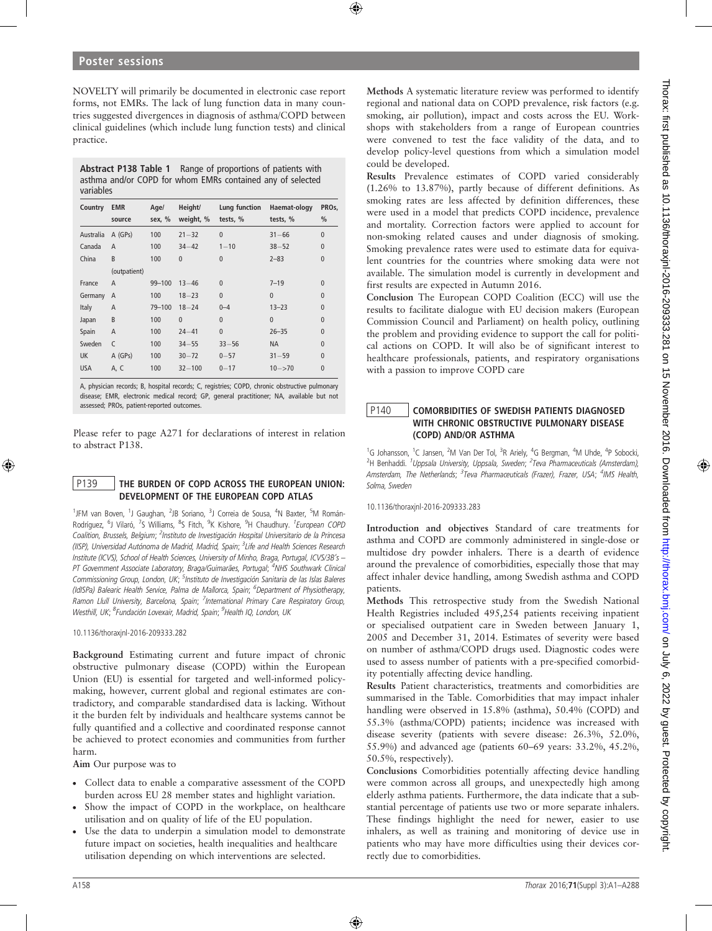NOVELTY will primarily be documented in electronic case report forms, not EMRs. The lack of lung function data in many countries suggested divergences in diagnosis of asthma/COPD between clinical guidelines (which include lung function tests) and clinical practice.

Abstract P138 Table 1 Range of proportions of patients with asthma and/or COPD for whom EMRs contained any of selected variables

| Country    | <b>EMR</b><br>source | Age/<br>sex, % | Height/<br>weight, % | Lung function<br>tests, % | Haemat-ology<br>tests, % | PRO <sub>s</sub><br>$\frac{0}{0}$ |
|------------|----------------------|----------------|----------------------|---------------------------|--------------------------|-----------------------------------|
| Australia  | $A$ (GPs)            | 100            | $21 - 32$            | $\theta$                  | $31 - 66$                | $\mathbf{0}$                      |
| Canada     | $\overline{A}$       | 100            | $34 - 42$            | $1 - 10$                  | $38 - 52$                | $\mathbf{0}$                      |
| China      | B                    | 100            | $\mathbf{0}$         | $\theta$                  | $2 - 83$                 | $\mathbf{0}$                      |
|            | (outpatient)         |                |                      |                           |                          |                                   |
| France     | $\overline{A}$       | $99 - 100$     | $13 - 46$            | $\theta$                  | $7 - 19$                 | $\mathbf{0}$                      |
| Germany    | $\overline{A}$       | 100            | $18 - 23$            | $\mathbf{0}$              | $\mathbf{0}$             | $\Omega$                          |
| Italy      | $\overline{A}$       | $79 - 100$     | $18 - 24$            | $0 - 4$                   | $13 - 23$                | $\mathbf{0}$                      |
| Japan      | B                    | 100            | $\mathbf{0}$         | $\theta$                  | $\Omega$                 | $\Omega$                          |
| Spain      | $\overline{A}$       | 100            | $24 - 41$            | $\mathbf{0}$              | $26 - 35$                | $\mathbf{0}$                      |
| Sweden     | $\mathsf{C}$         | 100            | $34 - 55$            | $33 - 56$                 | <b>NA</b>                | $\Omega$                          |
| <b>UK</b>  | $A$ (GPs)            | 100            | $30 - 72$            | $0 - 57$                  | $31 - 59$                | $\mathbf{0}$                      |
| <b>USA</b> | A, C                 | 100            | $32 - 100$           | $0 - 17$                  | $10 - > 70$              | $\mathbf{0}$                      |

A, physician records; B, hospital records; C, registries; COPD, chronic obstructive pulmonary disease; EMR, electronic medical record; GP, general practitioner; NA, available but not assessed; PROs, patient-reported outcomes.

Please refer to page A271 for declarations of interest in relation to abstract P138.

### P139 | THE BURDEN OF COPD ACROSS THE EUROPEAN UNION: DEVELOPMENT OF THE EUROPEAN COPD ATLAS

<sup>1</sup>JFM van Boven, <sup>1</sup>J Gaughan, <sup>2</sup>JB Soriano, <sup>3</sup>J Correia de Sousa, <sup>4</sup>N Baxter, <sup>5</sup>M Román-Rodríguez, <sup>6</sup>J Vilaró, <sup>7</sup>S Williams, <sup>8</sup>S Fitch, <sup>9</sup>K Kishore, <sup>9</sup>H Chaudhury. *<sup>1</sup> European COPD* Coalition, Brussels, Belgium; <sup>2</sup>Instituto de Investigación Hospital Universitario de la Princesa (IISP), Universidad Autónoma de Madrid, Madrid, Spain; <sup>3</sup>Life and Health Sciences Research Institute (ICVS), School of Health Sciences, University of Minho, Braga, Portugal, ICVS/3B's – PT Government Associate Laboratory, Braga/Guimarães, Portugal; <sup>4</sup>NHS Southwark Clinical Commissioning Group, London, UK; <sup>5</sup>Instituto de Investigación Sanitaria de las Islas Baleres (IdISPa) Balearic Health Service, Palma de Mallorca, Spain; <sup>6</sup>Department of Physiotherapy, Ramon Llull University, Barcelona, Spain; <sup>7</sup>International Primary Care Respiratory Group, Westhill, UK; <sup>8</sup>Fundación Lovexair, Madrid, Spain; <sup>9</sup>Health IQ, London, UK

10.1136/thoraxjnl-2016-209333.282

Background Estimating current and future impact of chronic obstructive pulmonary disease (COPD) within the European Union (EU) is essential for targeted and well-informed policymaking, however, current global and regional estimates are contradictory, and comparable standardised data is lacking. Without it the burden felt by individuals and healthcare systems cannot be fully quantified and a collective and coordinated response cannot be achieved to protect economies and communities from further harm.

Aim Our purpose was to

- . Collect data to enable a comparative assessment of the COPD burden across EU 28 member states and highlight variation.
- . Show the impact of COPD in the workplace, on healthcare utilisation and on quality of life of the EU population.
- . Use the data to underpin a simulation model to demonstrate future impact on societies, health inequalities and healthcare utilisation depending on which interventions are selected.

Methods A systematic literature review was performed to identify regional and national data on COPD prevalence, risk factors (e.g. smoking, air pollution), impact and costs across the EU. Workshops with stakeholders from a range of European countries were convened to test the face validity of the data, and to develop policy-level questions from which a simulation model could be developed.

Results Prevalence estimates of COPD varied considerably (1.26% to 13.87%), partly because of different definitions. As smoking rates are less affected by definition differences, these were used in a model that predicts COPD incidence, prevalence and mortality. Correction factors were applied to account for non-smoking related causes and under diagnosis of smoking. Smoking prevalence rates were used to estimate data for equivalent countries for the countries where smoking data were not available. The simulation model is currently in development and first results are expected in Autumn 2016.

Conclusion The European COPD Coalition (ECC) will use the results to facilitate dialogue with EU decision makers (European Commission Council and Parliament) on health policy, outlining the problem and providing evidence to support the call for political actions on COPD. It will also be of significant interest to healthcare professionals, patients, and respiratory organisations with a passion to improve COPD care

## P140 COMORBIDITIES OF SWEDISH PATIENTS DIAGNOSED WITH CHRONIC OBSTRUCTIVE PULMONARY DISEASE (COPD) AND/OR ASTHMA

<sup>1</sup>G Johansson, <sup>1</sup>C Jansen, <sup>2</sup>M Van Der Tol, <sup>3</sup>R Ariely, <sup>4</sup>G Bergman, <sup>4</sup>M Uhde, <sup>4</sup>P Sobocki, <sup>2</sup>H Benhaddi. <sup>1</sup>Uppsala University, Uppsala, Sweden; <sup>2</sup>Teva Pharmaceuticals (Amsterdam), Amsterdam, The Netherlands; <sup>3</sup>Teva Pharmaceuticals (Frazer), Frazer, USA; <sup>4</sup>IMS Health, Solma, Sweden

10.1136/thoraxjnl-2016-209333.283

Introduction and objectives Standard of care treatments for asthma and COPD are commonly administered in single-dose or multidose dry powder inhalers. There is a dearth of evidence around the prevalence of comorbidities, especially those that may affect inhaler device handling, among Swedish asthma and COPD patients.

Methods This retrospective study from the Swedish National Health Registries included 495,254 patients receiving inpatient or specialised outpatient care in Sweden between January 1, 2005 and December 31, 2014. Estimates of severity were based on number of asthma/COPD drugs used. Diagnostic codes were used to assess number of patients with a pre-specified comorbidity potentially affecting device handling.

Results Patient characteristics, treatments and comorbidities are summarised in the Table. Comorbidities that may impact inhaler handling were observed in 15.8% (asthma), 50.4% (COPD) and 55.3% (asthma/COPD) patients; incidence was increased with disease severity (patients with severe disease: 26.3%, 52.0%, 55.9%) and advanced age (patients 60–69 years: 33.2%, 45.2%, 50.5%, respectively).

Conclusions Comorbidities potentially affecting device handling were common across all groups, and unexpectedly high among elderly asthma patients. Furthermore, the data indicate that a substantial percentage of patients use two or more separate inhalers. These findings highlight the need for newer, easier to use inhalers, as well as training and monitoring of device use in patients who may have more difficulties using their devices correctly due to comorbidities.